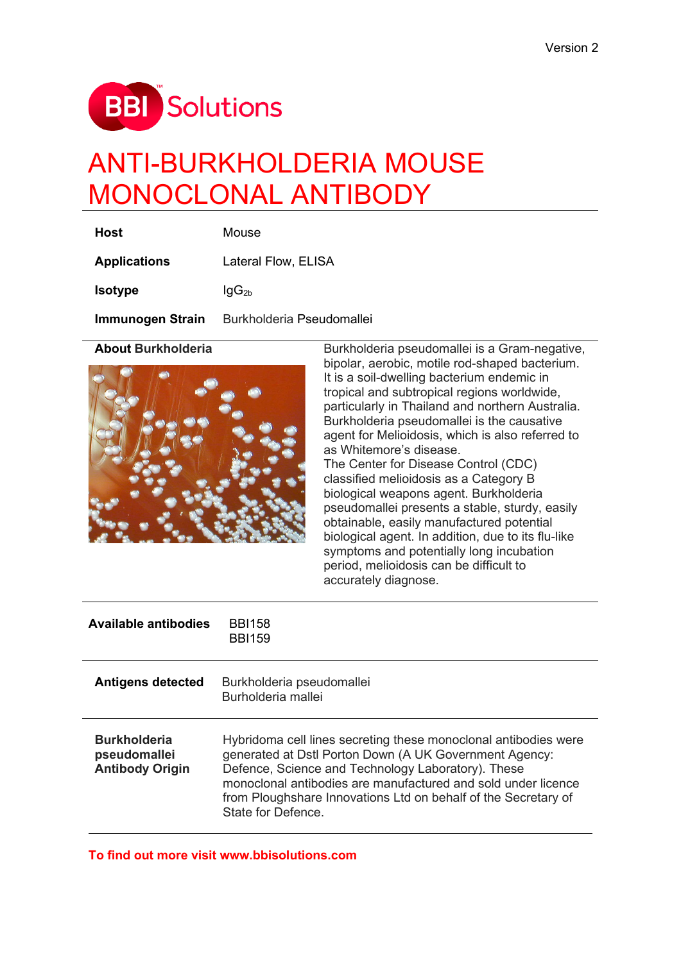

# ANTI-BURKHOLDERIA MOUSE MONOCLONAL ANTIBODY

| Host                | <b>Mouse</b>              |
|---------------------|---------------------------|
| <b>Applications</b> | Lateral Flow, ELISA       |
| <b>Isotype</b>      | $lgG_{2b}$                |
| Immunogen Strain    | Burkholderia Pseudomallei |



**About Burkholderia** Burkholderia pseudomallei is a Gram-negative, bipolar, aerobic, motile rod-shaped bacterium. It is a soil-dwelling bacterium endemic in tropical and subtropical regions worldwide, particularly in Thailand and northern Australia. Burkholderia pseudomallei is the causative agent for Melioidosis, which is also referred to as Whitemore's disease.

> The Center for Disease Control (CDC) classified melioidosis as a Category B biological weapons agent. Burkholderia pseudomallei presents a stable, sturdy, easily obtainable, easily manufactured potential biological agent. In addition, due to its flu-like symptoms and potentially long incubation period, melioidosis can be difficult to accurately diagnose.

| Available antibodies                                          | <b>BBI158</b><br><b>BBI159</b>                                                                                                                                                                                                                                                                                                           |
|---------------------------------------------------------------|------------------------------------------------------------------------------------------------------------------------------------------------------------------------------------------------------------------------------------------------------------------------------------------------------------------------------------------|
| <b>Antigens detected</b>                                      | Burkholderia pseudomallei<br>Burholderia mallei                                                                                                                                                                                                                                                                                          |
| <b>Burkholderia</b><br>pseudomallei<br><b>Antibody Origin</b> | Hybridoma cell lines secreting these monoclonal antibodies were<br>generated at Dstl Porton Down (A UK Government Agency:<br>Defence, Science and Technology Laboratory). These<br>monoclonal antibodies are manufactured and sold under licence<br>from Ploughshare Innovations Ltd on behalf of the Secretary of<br>State for Defence. |